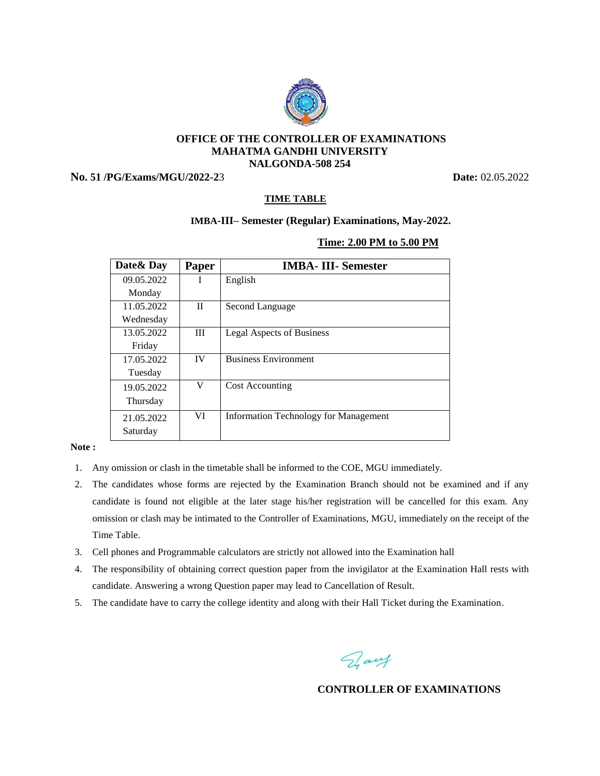

## **OFFICE OF THE CONTROLLER OF EXAMINATIONS MAHATMA GANDHI UNIVERSITY NALGONDA-508 254**

**No. 51 /PG/Exams/MGU/2022-2**3 **Date:** 02.05.2022

# **TIME TABLE**

# **IMBA-III– Semester (Regular) Examinations, May-2022.**

### **Time: 2.00 PM to 5.00 PM**

| Date & Day | <b>Paper</b> | <b>IMBA-III-Semester</b>                     |
|------------|--------------|----------------------------------------------|
| 09.05.2022 | L            | English                                      |
| Monday     |              |                                              |
| 11.05.2022 | H            | Second Language                              |
| Wednesday  |              |                                              |
| 13.05.2022 | $\mathbf{H}$ | Legal Aspects of Business                    |
| Friday     |              |                                              |
| 17.05.2022 | <b>IV</b>    | <b>Business Environment</b>                  |
| Tuesday    |              |                                              |
| 19.05.2022 | V            | <b>Cost Accounting</b>                       |
| Thursday   |              |                                              |
| 21.05.2022 | VI           | <b>Information Technology for Management</b> |
| Saturday   |              |                                              |

#### **Note :**

- 1. Any omission or clash in the timetable shall be informed to the COE, MGU immediately.
- 2. The candidates whose forms are rejected by the Examination Branch should not be examined and if any candidate is found not eligible at the later stage his/her registration will be cancelled for this exam. Any omission or clash may be intimated to the Controller of Examinations, MGU, immediately on the receipt of the Time Table.
- 3. Cell phones and Programmable calculators are strictly not allowed into the Examination hall
- 4. The responsibility of obtaining correct question paper from the invigilator at the Examination Hall rests with candidate. Answering a wrong Question paper may lead to Cancellation of Result.
- 5. The candidate have to carry the college identity and along with their Hall Ticket during the Examination.

Fray

**CONTROLLER OF EXAMINATIONS**